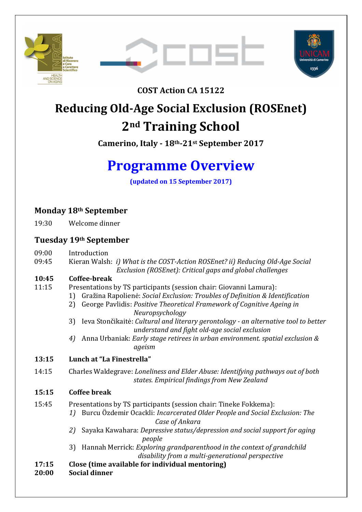





**COST Action CA 15122**

## **Reducing Old-Age Social Exclusion (ROSEnet) 2nd Training School**

**Camerino, Italy - 18th-21st September 2017** 

# **Programme Overview**

**(updated on 15 September 2017)** 

## **Monday 18th September**

19:30 Welcome dinner

### **Tuesday 19th September**

- 09:00 Introduction
- 09:45 Kieran Walsh: *i) What is the COST-Action ROSEnet? ii) Reducing Old-Age Social Exclusion (ROSEnet): Critical gaps and global challenges*

#### **10:45 Coffee-break**

- 11:15 Presentations by TS participants (session chair: Giovanni Lamura):
	- 1) Gražina Rapolienė: *Social Exclusion: Troubles of Definition & Identification*
		- 2) George Pavlidis: *Positive Theoretical Framework of Cognitive Ageing in Neuropsychology*
		- 3) Ieva Stončikaitė: *Cultural and literary gerontology an alternative tool to better understand and fight old-age social exclusion*
		- *4)* Anna Urbaniak: *Early stage retirees in urban environment. spatial exclusion & ageism*

## **13:15 Lunch at "La Finestrella"**

- 14:15 Charles Waldegrave: *Loneliness and Elder Abuse: Identifying pathways out of both states. Empirical findings from New Zealand*
- **15:15 Coffee break**
- 15:45 Presentations by TS participants (session chair: Tineke Fokkema):
	- *1)* Burcu Özdemir Ocackli: *Incarcerated Older People and Social Exclusion: The Case of Ankara* 
		- *2)* Sayaka Kawahara: *Depressive status/depression and social support for aging people*
		- 3) Hannah Merrick: *Exploring grandparenthood in the context of grandchild disability from a multi-generational perspective*

## **17:15 Close (time available for individual mentoring)**

**20:00 Social dinner**